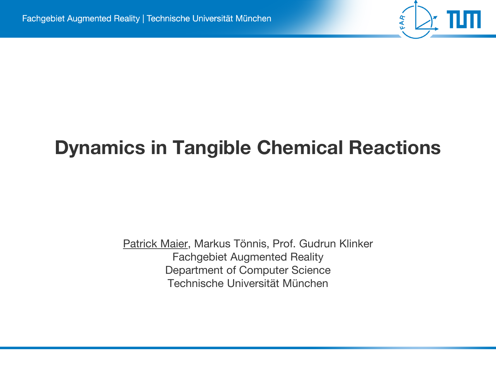## **Dynamics in Tangible Chemical Reactions**

FAR

Patrick Maier, Markus Tönnis, Prof. Gudrun Klinker Fachgebiet Augmented Reality Department of Computer Science Technische Universität München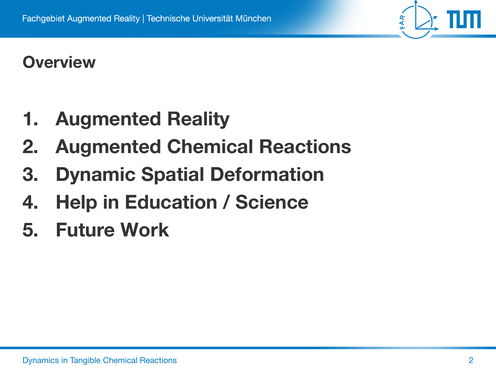### **Overview**

- **1. Augmented Reality**
- **2. Augmented Chemical Reactions**
- **3. Dynamic Spatial Deformation**
- **4. Help in Education / Science**
- **5. Future Work**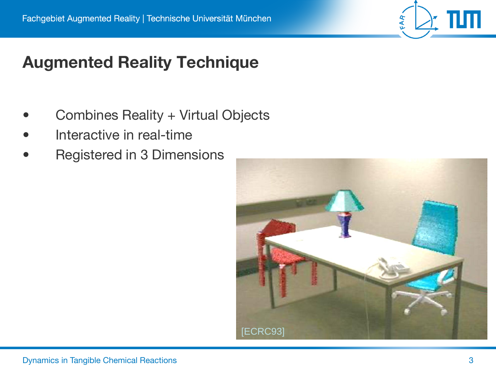### **Augmented Reality Technique**

- Combines Reality + Virtual Objects
- Interactive in real-time
- Registered in 3 Dimensions

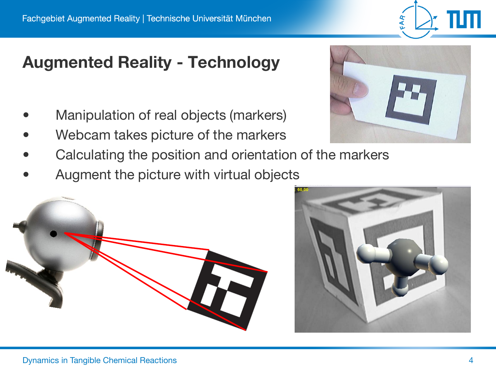### **Augmented Reality - Technology**

- Manipulation of real objects (markers)
- Webcam takes picture of the markers
- Calculating the position and orientation of the markers
- Augment the picture with virtual objects





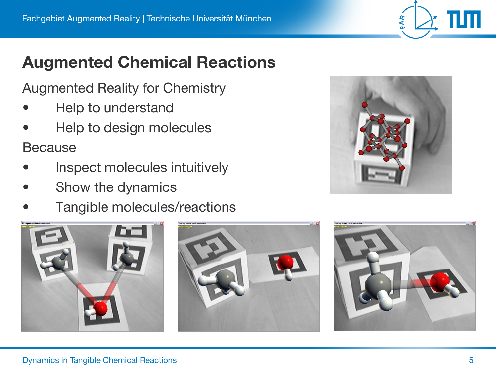### **Augmented Chemical Reactions**

Augmented Reality for Chemistry

- Help to understand
- Help to design molecules

Because

- Inspect molecules intuitively
- Show the dynamics
- Tangible molecules/reactions







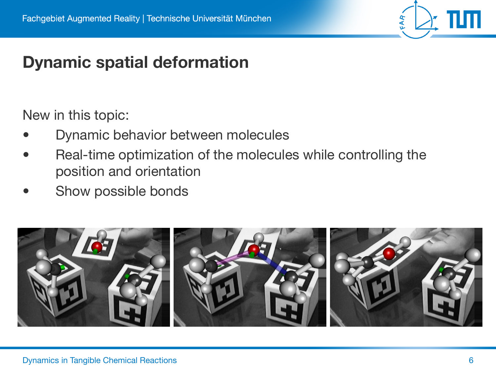

### **Dynamic spatial deformation**

New in this topic:

- Dynamic behavior between molecules
- Real-time optimization of the molecules while controlling the position and orientation
- Show possible bonds

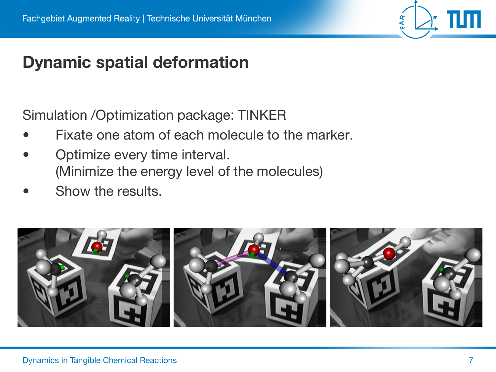

### **Dynamic spatial deformation**

Simulation /Optimization package: TINKER

- Fixate one atom of each molecule to the marker.
- Optimize every time interval. (Minimize the energy level of the molecules)
- Show the results.

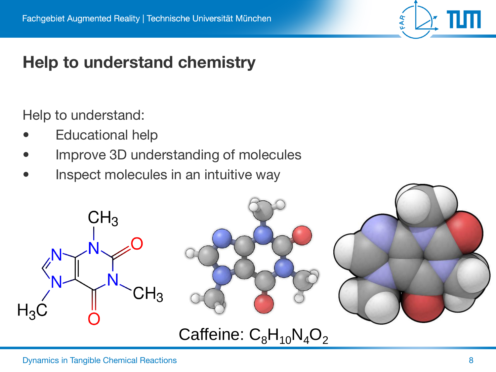# FAR

### **Help to understand chemistry**

Help to understand:

- **Educational help**
- Improve 3D understanding of molecules
- Inspect molecules in an intuitive way

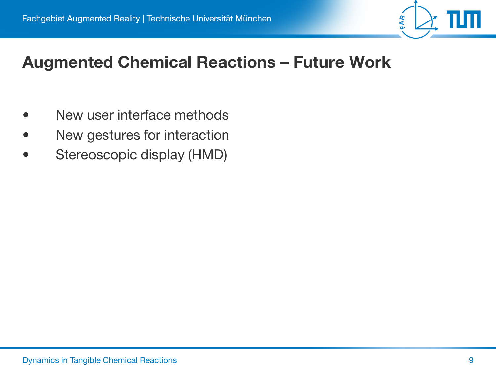

### **Augmented Chemical Reactions – Future Work**

- New user interface methods
- New gestures for interaction
- Stereoscopic display (HMD)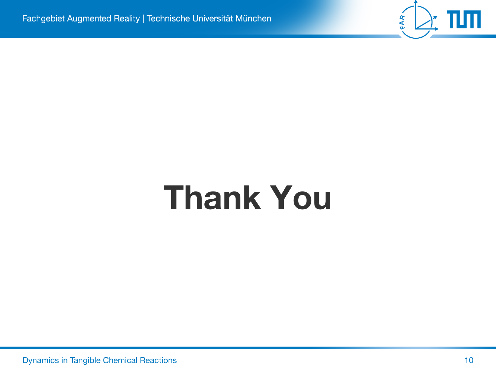

# **Thank You**

**Dynamics in Tangible Chemical Reactions 10** 10